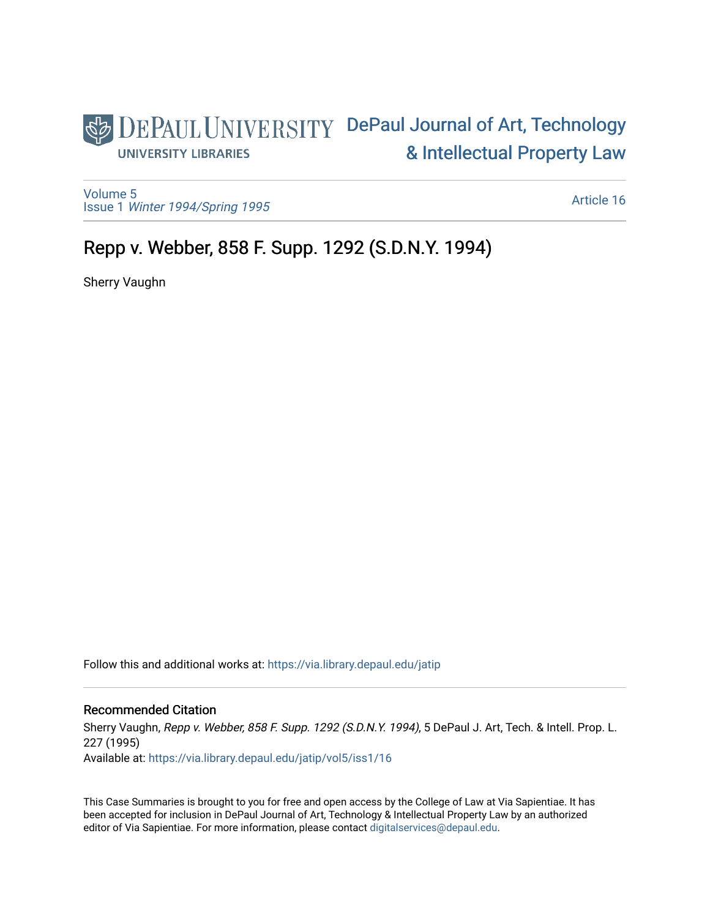# DEPAUL UNIVERSITY DePaul Journal of Art, Technology [& Intellectual Property Law](https://via.library.depaul.edu/jatip)  **UNIVERSITY LIBRARIES**

[Volume 5](https://via.library.depaul.edu/jatip/vol5) Issue 1 [Winter 1994/Spring 1995](https://via.library.depaul.edu/jatip/vol5/iss1)

[Article 16](https://via.library.depaul.edu/jatip/vol5/iss1/16) 

# Repp v. Webber, 858 F. Supp. 1292 (S.D.N.Y. 1994)

Sherry Vaughn

Follow this and additional works at: [https://via.library.depaul.edu/jatip](https://via.library.depaul.edu/jatip?utm_source=via.library.depaul.edu%2Fjatip%2Fvol5%2Fiss1%2F16&utm_medium=PDF&utm_campaign=PDFCoverPages)

# Recommended Citation

Sherry Vaughn, Repp v. Webber, 858 F. Supp. 1292 (S.D.N.Y. 1994), 5 DePaul J. Art, Tech. & Intell. Prop. L. 227 (1995)

Available at: [https://via.library.depaul.edu/jatip/vol5/iss1/16](https://via.library.depaul.edu/jatip/vol5/iss1/16?utm_source=via.library.depaul.edu%2Fjatip%2Fvol5%2Fiss1%2F16&utm_medium=PDF&utm_campaign=PDFCoverPages) 

This Case Summaries is brought to you for free and open access by the College of Law at Via Sapientiae. It has been accepted for inclusion in DePaul Journal of Art, Technology & Intellectual Property Law by an authorized editor of Via Sapientiae. For more information, please contact [digitalservices@depaul.edu](mailto:digitalservices@depaul.edu).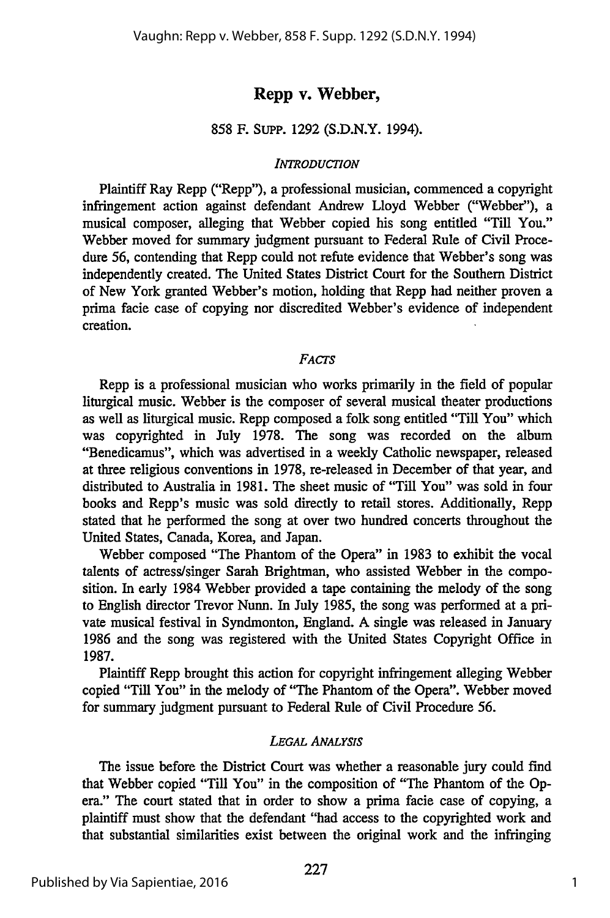## **Repp v. Webber,**

#### **858** F. SupP. **1292 (S.D.N.Y.** 1994).

#### *INTRODUCTION*

Plaintiff Ray Repp ("Repp"), a professional musician, commenced a copyright infringement action against defendant Andrew Lloyd Webber ("Webber"), a musical composer, alleging that Webber copied his song entitled "Till You." Webber moved for summary judgment pursuant to Federal Rule of Civil Procedure 56, contending that Repp could not refute evidence that Webber's song was independently created. The United States District Court for the Southern District of New York granted Webber's motion, holding that Repp had neither proven a prima facie case of copying nor discredited Webber's evidence of independent creation.

#### *FAcTs*

Repp is a professional musician who works primarily in the field of popular liturgical music. Webber is the composer of several musical theater productions as well as liturgical music. Repp composed a folk song entitled **"Till** You" which was copyrighted in July **1978.** The song was recorded on the album "Benedicamus", which was advertised in a weekly Catholic newspaper, released at three religious conventions in **1978,** re-released in December of that year, and distributed to Australia in **1981.** The sheet music of "Till You" was sold in four books and Repp's music was sold directly to retail stores. Additionally, Repp stated that he performed the song at over two hundred concerts throughout the United States, Canada, Korea, and Japan.

Webber composed "The Phantom of the Opera" in **1983** to exhibit the vocal talents of actress/singer Sarah Brightman, who assisted Webber in the composition. In early 1984 Webber provided a tape containing the melody of the song to English director Trevor Nunn. In July **1985,** the song was performed at a private musical festival in Syndmonton, England. **A** single was released in January **1986** and the song was registered with the United States Copyright Office in **1987.**

Plaintiff Repp brought this action for copyright infringement alleging Webber copied "Till You" in the melody of "The Phantom of the Opera". Webber moved for summary judgment pursuant to Federal Rule of Civil Procedure **56.**

#### *LEGAL ANALYSIS*

The issue before the District Court was whether a reasonable jury could find that Webber copied "Till You" in the composition of "The Phantom of the Opera." The court stated that in order to show a prima facie case of copying, a plaintiff must show that the defendant "had access to the copyrighted work and that substantial similarities exist between the original work and the infringing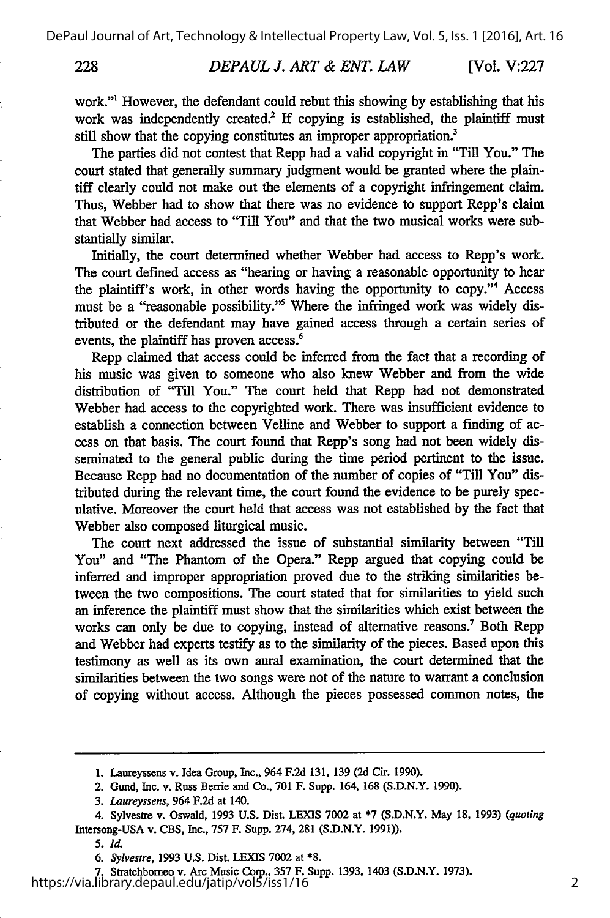228

work."' However, the defendant could rebut this showing by establishing that his work was independently created.<sup>2</sup> If copying is established, the plaintiff must still show that the copying constitutes an improper appropriation.<sup>3</sup>

The parties did not contest that Repp had a valid copyright in "Till You." The court stated that generally summary judgment would be granted where the plaintiff clearly could not make out the elements of a copyright infringement claim. Thus, Webber had to show that there was no evidence to support Repp's claim that Webber had access to "Till You" and that the two musical works were substantially similar.

Initially, the court determined whether Webber had access to Repp's work. The court defined access as "hearing or having a reasonable opportunity to hear the plaintiff's work, in other words having the opportunity to copy."4 Access must be a "reasonable possibility."5 Where the infringed work was widely distributed or the defendant may have gained access through a certain series of events, the plaintiff has proven access.<sup>6</sup>

Repp claimed that access could be inferred from the fact that a recording of his music was given to someone who also knew Webber and from the wide distribution of "Till You." The court held that Repp had not demonstrated Webber had access to the copyrighted work. There was insufficient evidence to establish a connection between Velline and Webber to support a finding of access on that basis. The court found that Repp's song had not been widely disseminated to the general public during the time period pertinent to the issue. Because Repp had no documentation of the number of copies of "Till You" distributed during the relevant time, the court found the evidence to be purely speculative. Moreover the court held that access was not established by the fact that Webber also composed liturgical music.

The court next addressed the issue of substantial similarity between "Till You" and "The Phantom of the Opera." Repp argued that copying could be inferred and improper appropriation proved due to the striking similarities between the two compositions. The court stated that for similarities to yield such an inference the plaintiff must show that the similarities which exist between the works can only be due to copying, instead of alternative reasons.<sup>7</sup> Both Repp and Webber had experts testify as to the similarity of the pieces. Based upon this testimony as well as its own aural examination, the court determined that the similarities between the two songs were not of the nature to warrant a conclusion of copying without access. Although the pieces possessed common notes, the

**<sup>1.</sup>** Laureyssens v. Idea Group, Inc., 964 **F.2d 131, 139 (2d** Cir. **1990).**

<sup>2.</sup> Gund, Inc. v. Russ Berrie and Co., **701** F. Supp. 164, **168 (S.D.N.Y. 1990).**

*<sup>3.</sup> Laureyssens,* 964 **F.2d** at 140.

<sup>4.</sup> Sylvestre v. Oswald, **1993 U.S. Dist. LEXIS 7002** at **\*7 (S.D.N.Y.** May **18, 1993)** *(quoting* Intersong-USA v. **CBS,** Inc., **757** F. Supp. 274, **281 (S.D.N.Y. 1991)).**

**<sup>5.</sup>** d.

*<sup>6.</sup> Sylvestre,* **1993** U.S. **Dist.** LEXIS **7002** at **\*8.**

**<sup>7.</sup>** Stratchborneo v. **Arc** Music Corp., **357** F. Supp. **1393,** 1403 **(S.D.N.Y. 1973).** https://via.library.depaul.edu/jatip/vol5/iss1/16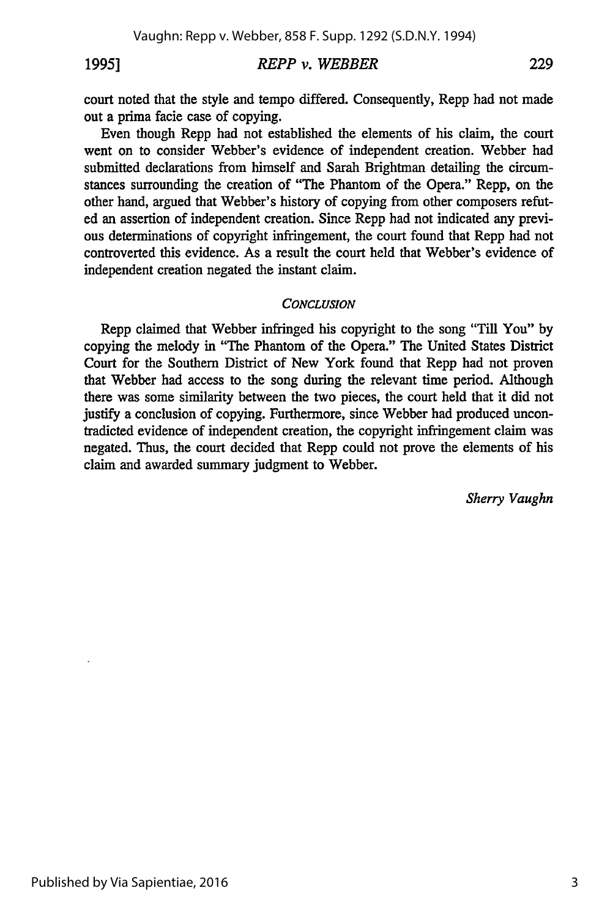### <sup>19951</sup>*REPP v. WEBBER* 229

court noted that the style and tempo differed. Consequently, Repp had not made out a prima facie case of copying.

Even though Repp had not established the elements of his claim, the court went on to consider Webber's evidence of independent creation. Webber had submitted declarations from himself and Sarah Brightman detailing the circumstances surrounding the creation of "The Phantom of the Opera." Repp, on the other hand, argued that Webber's history of copying from other composers refuted an assertion of independent creation. Since Repp had not indicated any previous determinations of copyright infringement, the court found that Repp had not controverted this evidence. As a result the court held that Webber's evidence of independent creation negated the instant claim.

#### *CONCLUSION*

Repp claimed that Webber infringed his copyright to the song "Till You" by copying the melody in "The Phantom of the Opera." The United States District Court for the Southern District of New York found that Repp had not proven that Webber had access to the song during the relevant time period. Although there was some similarity between the two pieces, the court held that it did not justify a conclusion of copying. Furthermore, since Webber had produced uncontradicted evidence of independent creation, the copyright infringement claim was negated. Thus, the court decided that Repp could not prove the elements of his claim and awarded summary judgment to Webber.

*Sherry Vaughn*